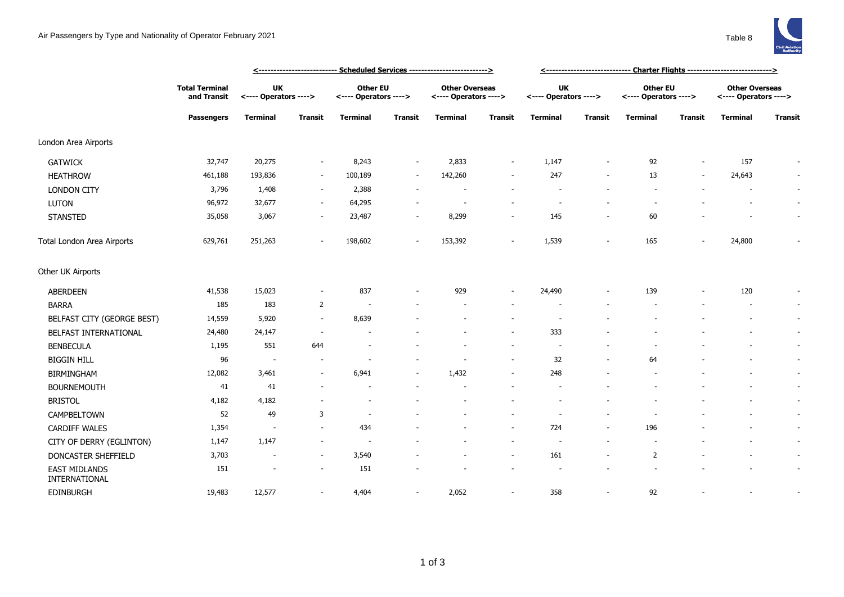|                                       |                                                           |                             | <--------------------------- Scheduled Services -------------------------> |                                          | <----------------------------- Charter Flights ---------------------------> |                                                |                          |                             |                          |                                          |                |                                                |                          |
|---------------------------------------|-----------------------------------------------------------|-----------------------------|----------------------------------------------------------------------------|------------------------------------------|-----------------------------------------------------------------------------|------------------------------------------------|--------------------------|-----------------------------|--------------------------|------------------------------------------|----------------|------------------------------------------------|--------------------------|
|                                       | <b>Total Terminal</b><br>and Transit<br><b>Passengers</b> | UK<br><---- Operators ----> |                                                                            | <b>Other EU</b><br><---- Operators ----> |                                                                             | <b>Other Overseas</b><br><---- Operators ----> |                          | UK<br><---- Operators ----> |                          | <b>Other EU</b><br><---- Operators ----> |                | <b>Other Overseas</b><br><---- Operators ----> |                          |
|                                       |                                                           | <b>Terminal</b>             | Transit                                                                    | <b>Terminal</b>                          | <b>Transit</b>                                                              | <b>Terminal</b>                                | Transit                  | <b>Terminal</b>             | <b>Transit</b>           | <b>Terminal</b>                          | <b>Transit</b> | <b>Terminal</b>                                | <b>Transit</b>           |
| London Area Airports                  |                                                           |                             |                                                                            |                                          |                                                                             |                                                |                          |                             |                          |                                          |                |                                                |                          |
| <b>GATWICK</b>                        | 32,747                                                    | 20,275                      | $\sim$                                                                     | 8,243                                    | $\overline{\phantom{a}}$                                                    | 2,833                                          | $\overline{\phantom{a}}$ | 1,147                       |                          | 92                                       |                | 157                                            |                          |
| <b>HEATHROW</b>                       | 461,188                                                   | 193,836                     | $\sim$                                                                     | 100,189                                  | $\overline{\phantom{a}}$                                                    | 142,260                                        | ۰                        | 247                         |                          | 13                                       | $\sim$         | 24,643                                         | $\overline{\phantom{a}}$ |
| <b>LONDON CITY</b>                    | 3,796                                                     | 1,408                       |                                                                            | 2,388                                    |                                                                             |                                                |                          |                             |                          |                                          |                |                                                | $\sim$                   |
| LUTON                                 | 96,972                                                    | 32,677                      | $\sim$                                                                     | 64,295                                   |                                                                             |                                                |                          |                             |                          |                                          |                |                                                | $\overline{\phantom{a}}$ |
| <b>STANSTED</b>                       | 35,058                                                    | 3,067                       | $\sim$                                                                     | 23,487                                   |                                                                             | 8,299                                          | $\overline{a}$           | 145                         |                          | 60                                       |                |                                                | $\overline{\phantom{a}}$ |
| Total London Area Airports            | 629,761                                                   | 251,263                     |                                                                            | 198,602                                  |                                                                             | 153,392                                        |                          | 1,539                       |                          | 165                                      |                | 24,800                                         |                          |
| Other UK Airports                     |                                                           |                             |                                                                            |                                          |                                                                             |                                                |                          |                             |                          |                                          |                |                                                |                          |
| <b>ABERDEEN</b>                       | 41,538                                                    | 15,023                      | $\overline{\phantom{a}}$                                                   | 837                                      |                                                                             | 929                                            | $\overline{\phantom{a}}$ | 24,490                      |                          | 139                                      |                | 120                                            | $\overline{\phantom{a}}$ |
| <b>BARRA</b>                          | 185                                                       | 183                         | $\overline{2}$                                                             |                                          |                                                                             |                                                |                          |                             |                          |                                          |                |                                                | $\sim$                   |
| BELFAST CITY (GEORGE BEST)            | 14,559                                                    | 5,920                       |                                                                            | 8,639                                    |                                                                             |                                                |                          |                             |                          |                                          |                |                                                | $\overline{\phantom{a}}$ |
| BELFAST INTERNATIONAL                 | 24,480                                                    | 24,147                      |                                                                            |                                          |                                                                             |                                                | $\sim$                   | 333                         |                          |                                          |                |                                                | $\overline{\phantom{a}}$ |
| <b>BENBECULA</b>                      | 1,195                                                     | 551                         | 644                                                                        |                                          |                                                                             |                                                |                          |                             |                          |                                          |                |                                                | $\sim$                   |
| <b>BIGGIN HILL</b>                    | 96                                                        | $\overline{\phantom{a}}$    |                                                                            |                                          |                                                                             |                                                | $\overline{a}$           | 32                          |                          | 64                                       |                |                                                | $\overline{\phantom{a}}$ |
| <b>BIRMINGHAM</b>                     | 12,082                                                    | 3,461                       |                                                                            | 6,941                                    | $\overline{\phantom{a}}$                                                    | 1,432                                          | ٠                        | 248                         |                          |                                          |                |                                                | $\sim$                   |
| <b>BOURNEMOUTH</b>                    | 41                                                        | 41                          |                                                                            |                                          |                                                                             |                                                |                          |                             |                          |                                          |                |                                                | $\overline{\phantom{a}}$ |
| <b>BRISTOL</b>                        | 4,182                                                     | 4,182                       |                                                                            |                                          |                                                                             |                                                |                          |                             |                          |                                          |                |                                                | $\overline{\phantom{a}}$ |
| CAMPBELTOWN                           | 52                                                        | 49                          | 3                                                                          | ÷.                                       |                                                                             |                                                |                          |                             |                          |                                          |                |                                                | $\sim$                   |
| <b>CARDIFF WALES</b>                  | 1,354                                                     | $\overline{\phantom{a}}$    |                                                                            | 434                                      |                                                                             |                                                | $\sim$                   | 724                         | $\overline{\phantom{a}}$ | 196                                      |                |                                                | $\overline{\phantom{a}}$ |
| CITY OF DERRY (EGLINTON)              | 1,147                                                     | 1,147                       | $\overline{\phantom{a}}$                                                   | $\overline{\phantom{a}}$                 |                                                                             |                                                | $\sim$                   | $\overline{\phantom{a}}$    |                          | $\overline{\phantom{a}}$                 |                |                                                | $\overline{\phantom{a}}$ |
| DONCASTER SHEFFIELD                   | 3,703                                                     |                             | $\sim$                                                                     | 3,540                                    |                                                                             |                                                | $\overline{\phantom{a}}$ | 161                         |                          | $\overline{2}$                           |                |                                                | $\overline{\phantom{a}}$ |
| <b>EAST MIDLANDS</b><br>INTERNATIONAL | 151                                                       |                             | $\sim$                                                                     | 151                                      |                                                                             |                                                |                          |                             |                          |                                          |                |                                                | $\overline{\phantom{a}}$ |
| <b>EDINBURGH</b>                      | 19,483                                                    | 12,577                      |                                                                            | 4,404                                    | $\overline{\phantom{a}}$                                                    | 2,052                                          |                          | 358                         |                          | 92                                       |                |                                                |                          |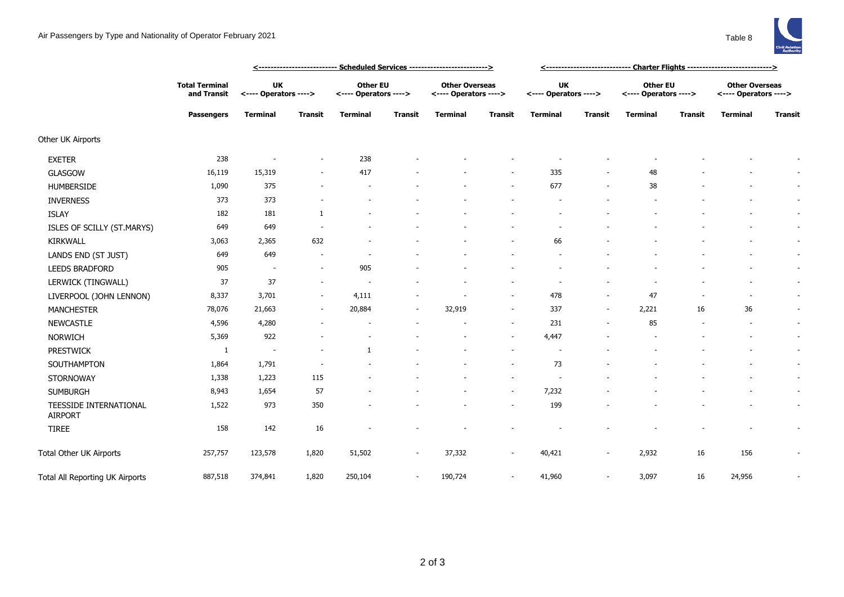

|                                          |                                                           |                                    | <u> &lt;--------------------------- Scheduled Services --------------------------&gt;</u> | <u> &lt;-----------------------------  Charter Flights ----------------------------&gt;</u> |                          |                                                |                          |                                    |                          |                                          |                |                                                |         |
|------------------------------------------|-----------------------------------------------------------|------------------------------------|-------------------------------------------------------------------------------------------|---------------------------------------------------------------------------------------------|--------------------------|------------------------------------------------|--------------------------|------------------------------------|--------------------------|------------------------------------------|----------------|------------------------------------------------|---------|
|                                          | <b>Total Terminal</b><br>and Transit<br><b>Passengers</b> | <b>UK</b><br><---- Operators ----> |                                                                                           | <b>Other EU</b><br><---- Operators ---->                                                    |                          | <b>Other Overseas</b><br><---- Operators ----> |                          | <b>UK</b><br><---- Operators ----> |                          | <b>Other EU</b><br><---- Operators ----> |                | <b>Other Overseas</b><br><---- Operators ----> |         |
|                                          |                                                           | Terminal                           | <b>Transit</b>                                                                            | <b>Terminal</b>                                                                             | <b>Transit</b>           | Terminal                                       | <b>Transit</b>           | <b>Terminal</b>                    | Transit                  | <b>Terminal</b>                          | <b>Transit</b> | <b>Terminal</b>                                | Transit |
| Other UK Airports                        |                                                           |                                    |                                                                                           |                                                                                             |                          |                                                |                          |                                    |                          |                                          |                |                                                |         |
| <b>EXETER</b>                            | 238                                                       |                                    | $\overline{\phantom{a}}$                                                                  | 238                                                                                         |                          |                                                |                          |                                    |                          |                                          |                |                                                |         |
| GLASGOW                                  | 16,119                                                    | 15,319                             | ٠                                                                                         | 417                                                                                         |                          |                                                | $\overline{\phantom{a}}$ | 335                                | ٠                        | 48                                       |                |                                                |         |
| <b>HUMBERSIDE</b>                        | 1,090                                                     | 375                                |                                                                                           |                                                                                             |                          |                                                | $\sim$                   | 677                                | $\sim$                   | 38                                       |                |                                                |         |
| <b>INVERNESS</b>                         | 373                                                       | 373                                |                                                                                           |                                                                                             |                          |                                                |                          |                                    |                          |                                          |                |                                                |         |
| <b>ISLAY</b>                             | 182                                                       | 181                                | 1                                                                                         |                                                                                             |                          |                                                |                          |                                    |                          |                                          |                |                                                |         |
| ISLES OF SCILLY (ST.MARYS)               | 649                                                       | 649                                |                                                                                           |                                                                                             |                          |                                                |                          |                                    |                          |                                          |                |                                                |         |
| <b>KIRKWALL</b>                          | 3,063                                                     | 2,365                              | 632                                                                                       |                                                                                             |                          |                                                |                          | 66                                 |                          |                                          |                |                                                |         |
| LANDS END (ST JUST)                      | 649                                                       | 649                                | $\overline{\phantom{a}}$                                                                  |                                                                                             |                          |                                                |                          |                                    |                          |                                          |                |                                                |         |
| LEEDS BRADFORD                           | 905                                                       | $\sim$                             | $\sim$                                                                                    | 905                                                                                         |                          |                                                |                          |                                    |                          |                                          |                |                                                |         |
| LERWICK (TINGWALL)                       | 37                                                        | 37                                 | $\sim$                                                                                    |                                                                                             |                          |                                                |                          |                                    |                          |                                          |                |                                                |         |
| LIVERPOOL (JOHN LENNON)                  | 8,337                                                     | 3,701                              | $\sim$                                                                                    | 4,111                                                                                       |                          |                                                | $\sim$                   | 478                                | $\sim$                   | 47                                       |                |                                                |         |
| <b>MANCHESTER</b>                        | 78,076                                                    | 21,663                             | $\overline{\phantom{a}}$                                                                  | 20,884                                                                                      | $\overline{\phantom{a}}$ | 32,919                                         | $\overline{\phantom{a}}$ | 337                                | $\overline{\phantom{a}}$ | 2,221                                    | 16             | 36                                             |         |
| <b>NEWCASTLE</b>                         | 4,596                                                     | 4,280                              |                                                                                           |                                                                                             |                          |                                                | $\overline{\phantom{a}}$ | 231                                | $\sim$                   | 85                                       |                |                                                |         |
| <b>NORWICH</b>                           | 5,369                                                     | 922                                |                                                                                           |                                                                                             |                          |                                                | $\sim$                   | 4,447                              |                          |                                          |                |                                                |         |
| <b>PRESTWICK</b>                         | -1                                                        | $\overline{\phantom{a}}$           |                                                                                           | -1                                                                                          |                          |                                                |                          |                                    |                          |                                          |                |                                                |         |
| SOUTHAMPTON                              | 1,864                                                     | 1,791                              |                                                                                           |                                                                                             |                          |                                                | $\sim$                   | 73                                 |                          |                                          |                |                                                |         |
| STORNOWAY                                | 1,338                                                     | 1,223                              | 115                                                                                       |                                                                                             |                          |                                                | ٠                        |                                    |                          |                                          |                |                                                |         |
| <b>SUMBURGH</b>                          | 8,943                                                     | 1,654                              | 57                                                                                        |                                                                                             |                          |                                                | $\sim$                   | 7,232                              |                          |                                          |                |                                                |         |
| TEESSIDE INTERNATIONAL<br><b>AIRPORT</b> | 1,522                                                     | 973                                | 350                                                                                       |                                                                                             |                          |                                                | $\overline{\phantom{a}}$ | 199                                |                          |                                          |                |                                                |         |
| <b>TIREE</b>                             | 158                                                       | 142                                | 16                                                                                        |                                                                                             |                          |                                                |                          |                                    |                          |                                          |                |                                                |         |
| Total Other UK Airports                  | 257,757                                                   | 123,578                            | 1,820                                                                                     | 51,502                                                                                      | $\sim$                   | 37,332                                         | $\sim$                   | 40,421                             |                          | 2,932                                    | 16             | 156                                            |         |
| Total All Reporting UK Airports          | 887,518                                                   | 374,841                            | 1,820                                                                                     | 250,104                                                                                     | $\sim$                   | 190,724                                        | ٠                        | 41,960                             |                          | 3,097                                    | 16             | 24,956                                         |         |